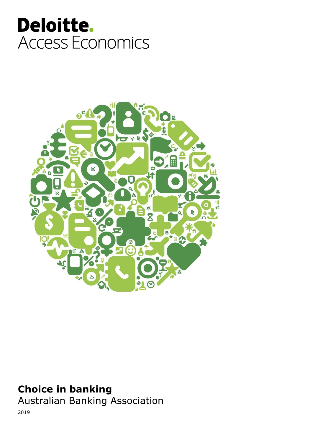# Deloitte. Access Economics



### Choice in banking

Australian Banking Association

2019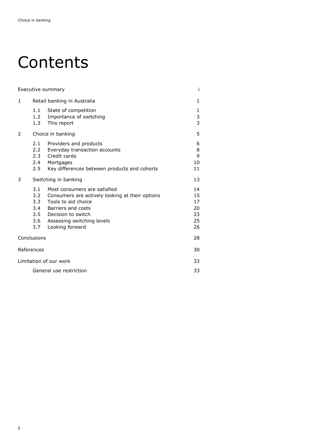## Contents

| Executive summary       |                                           |                                                                                                                                                                                                             |                                        |  |
|-------------------------|-------------------------------------------|-------------------------------------------------------------------------------------------------------------------------------------------------------------------------------------------------------------|----------------------------------------|--|
| 1                       | Retail banking in Australia               |                                                                                                                                                                                                             | 1                                      |  |
|                         | 1.1<br>1.2<br>1.3                         | State of competition<br>Importance of switching<br>This report                                                                                                                                              | 1<br>3<br>3                            |  |
| 2                       | Choice in banking                         | 5                                                                                                                                                                                                           |                                        |  |
|                         | 2.1<br>2.2<br>2.3<br>2.4<br>$2.5^{\circ}$ | Providers and products<br>Everyday transaction accounts<br>Credit cards<br>Mortgages<br>Key differences between products and cohorts                                                                        | 6<br>8<br>9<br>10<br>11                |  |
| 3                       | Switching in banking                      | 13                                                                                                                                                                                                          |                                        |  |
|                         | 3.1<br>3.2<br>$3.3 -$<br>3.4<br>3.7       | Most consumers are satisfied<br>Consumers are actively looking at their options<br>Tools to aid choice<br>Barriers and costs<br>3.5 Decision to switch<br>3.6 Assessing switching levels<br>Looking forward | 14<br>15<br>17<br>20<br>23<br>25<br>26 |  |
|                         | Conclusions                               |                                                                                                                                                                                                             | 28                                     |  |
| References              |                                           |                                                                                                                                                                                                             |                                        |  |
| Limitation of our work  |                                           |                                                                                                                                                                                                             |                                        |  |
| General use restriction |                                           |                                                                                                                                                                                                             |                                        |  |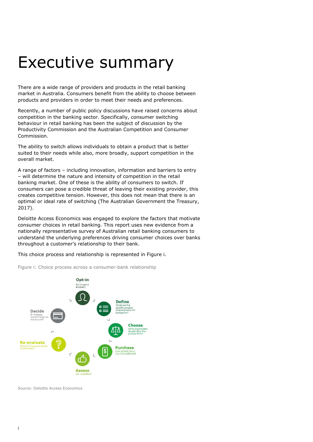### Executive summary

There are a wide range of providers and products in the retail banking market in Australia. Consumers benefit from the ability to choose between products and providers in order to meet their needs and preferences.

Recently, a number of public policy discussions have raised concerns about competition in the banking sector. Specifically, consumer switching behaviour in retail banking has been the subject of discussion by the Productivity Commission and the Australian Competition and Consumer Commission.

The ability to switch allows individuals to obtain a product that is better suited to their needs while also, more broadly, support competition in the overall market.

A range of factors – including innovation, information and barriers to entry – will determine the nature and intensity of competition in the retail banking market. One of these is the ability of consumers to switch. If consumers can pose a credible threat of leaving their existing provider, this creates competitive tension. However, this does not mean that there is an optimal or ideal rate of switching (The Australian Government the Treasury, 2017).

Deloitte Access Economics was engaged to explore the factors that motivate consumer choices in retail banking. This report uses new evidence from a nationally representative survey of Australian retail banking consumers to understand the underlying preferences driving consumer choices over banks throughout a customer's relationship to their bank.

This choice process and relationship is represented in Figure i.



Figure i: Choice process across a consumer-bank relationship

Source: Deloitte Access Economics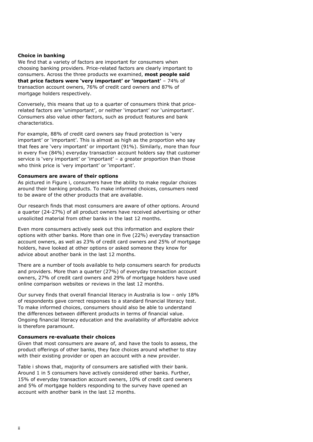#### Choice in banking

We find that a variety of factors are important for consumers when choosing banking providers. Price-related factors are clearly important to consumers. Across the three products we examined, most people said that price factors were 'very important' or 'important' – 74% of transaction account owners, 76% of credit card owners and 87% of mortgage holders respectively.

Conversely, this means that up to a quarter of consumers think that pricerelated factors are 'unimportant', or neither 'important' nor 'unimportant'. Consumers also value other factors, such as product features and bank characteristics.

For example, 88% of credit card owners say fraud protection is 'very important' or 'important'. This is almost as high as the proportion who say that fees are 'very important' or important (91%). Similarly, more than four in every five (84%) everyday transaction account holders say that customer service is 'very important' or 'important' – a greater proportion than those who think price is 'very important' or 'important'.

#### Consumers are aware of their options

As pictured in Figure i, consumers have the ability to make regular choices around their banking products. To make informed choices, consumers need to be aware of the other products that are available.

Our research finds that most consumers are aware of other options. Around a quarter (24-27%) of all product owners have received advertising or other unsolicited material from other banks in the last 12 months.

Even more consumers actively seek out this information and explore their options with other banks. More than one in five (22%) everyday transaction account owners, as well as 23% of credit card owners and 25% of mortgage holders, have looked at other options or asked someone they know for advice about another bank in the last 12 months.

There are a number of tools available to help consumers search for products and providers. More than a quarter (27%) of everyday transaction account owners, 27% of credit card owners and 29% of mortgage holders have used online comparison websites or reviews in the last 12 months.

Our survey finds that overall financial literacy in Australia is low – only 18% of respondents gave correct responses to a standard financial literacy test. To make informed choices, consumers should also be able to understand the differences between different products in terms of financial value. Ongoing financial literacy education and the availability of affordable advice is therefore paramount.

#### Consumers re-evaluate their choices

Given that most consumers are aware of, and have the tools to assess, the product offerings of other banks, they face choices around whether to stay with their existing provider or open an account with a new provider.

Table i shows that, majority of consumers are satisfied with their bank. Around 1 in 5 consumers have actively considered other banks. Further, 15% of everyday transaction account owners, 10% of credit card owners and 5% of mortgage holders responding to the survey have opened an account with another bank in the last 12 months.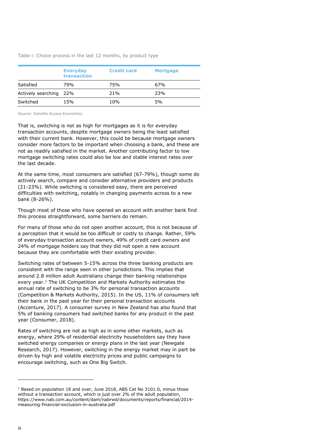Table i: Choice process in the last 12 months, by product type

|                        | <b>Everyday</b><br>transaction | <b>Credit card</b> | <b>Mortgage</b> |
|------------------------|--------------------------------|--------------------|-----------------|
| Satisfied              | 79%                            | 75%                | 67%             |
| Actively searching 22% |                                | 21%                | 23%             |
| Switched               | 15%                            | 10%                | 5%              |

Source: Deloitte Access Economics

That is, switching is not as high for mortgages as it is for everyday transaction accounts, despite mortgage owners being the least satisfied with their current bank. However, this could be because mortgage owners consider more factors to be important when choosing a bank, and these are not as readily satisfied in the market. Another contributing factor to low mortgage switching rates could also be low and stable interest rates over the last decade.

At the same time, most consumers are satisfied (67-79%), though some do actively search, compare and consider alternative providers and products (21-23%). While switching is considered easy, there are perceived difficulties with switching, notably in changing payments across to a new bank (8-26%).

Though most of those who have opened an account with another bank find this process straightforward, some barriers do remain.

For many of those who do not open another account, this is not because of a perception that it would be too difficult or costly to change. Rather, 59% of everyday transaction account owners, 49% of credit card owners and 24% of mortgage holders say that they did not open a new account because they are comfortable with their existing provider.

Switching rates of between 5-15% across the three banking products are consistent with the range seen in other jurisdictions. This implies that around 2.8 million adult Australians change their banking relationships every year.<sup>1</sup> The UK Competition and Markets Authority estimates the annual rate of switching to be 3% for personal transaction accounts (Competition & Markets Authority, 2015). In the US, 11% of consumers left their bank in the past year for their personal transaction accounts (Accenture, 2017). A consumer survey in New Zealand has also found that 5% of banking consumers had switched banks for any product in the past year (Consumer, 2018).

Rates of switching are not as high as in some other markets, such as energy, where 29% of residential electricity householders say they have switched energy companies or energy plans in the last year (Newgate Research, 2017). However, switching in the energy market may in part be driven by high and volatile electricity prices and public campaigns to encourage switching, such as One Big Switch.

<sup>&</sup>lt;sup>1</sup> Based on population 18 and over, June 2018, ABS Cat No 3101.0, minus those without a transaction account, which is just over 2% of the adult population, https://www.nab.com.au/content/dam/nabrwd/documents/reports/financial/2014 measuring-financial-exclusion-in-australia.pdf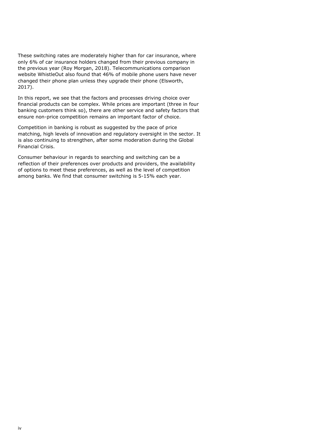These switching rates are moderately higher than for car insurance, where only 6% of car insurance holders changed from their previous company in the previous year (Roy Morgan, 2018). Telecommunications comparison website WhistleOut also found that 46% of mobile phone users have never changed their phone plan unless they upgrade their phone (Elsworth, 2017).

In this report, we see that the factors and processes driving choice over financial products can be complex. While prices are important (three in four banking customers think so), there are other service and safety factors that ensure non-price competition remains an important factor of choice.

Competition in banking is robust as suggested by the pace of price matching, high levels of innovation and regulatory oversight in the sector. It is also continuing to strengthen, after some moderation during the Global Financial Crisis.

Consumer behaviour in regards to searching and switching can be a reflection of their preferences over products and providers, the availability of options to meet these preferences, as well as the level of competition among banks. We find that consumer switching is 5-15% each year.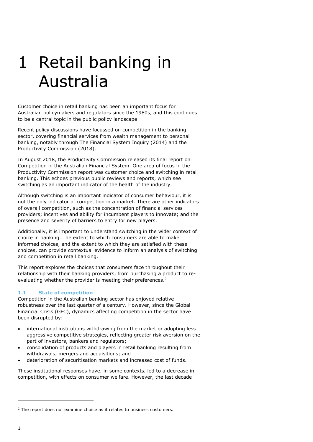# 1 Retail banking in Australia

Customer choice in retail banking has been an important focus for Australian policymakers and regulators since the 1980s, and this continues to be a central topic in the public policy landscape.

Recent policy discussions have focussed on competition in the banking sector, covering financial services from wealth management to personal banking, notably through The Financial System Inquiry (2014) and the Productivity Commission (2018).

In August 2018, the Productivity Commission released its final report on Competition in the Australian Financial System. One area of focus in the Productivity Commission report was customer choice and switching in retail banking. This echoes previous public reviews and reports, which see switching as an important indicator of the health of the industry.

Although switching is an important indicator of consumer behaviour, it is not the only indicator of competition in a market. There are other indicators of overall competition, such as the concentration of financial services providers; incentives and ability for incumbent players to innovate; and the presence and severity of barriers to entry for new players.

Additionally, it is important to understand switching in the wider context of choice in banking. The extent to which consumers are able to make informed choices, and the extent to which they are satisfied with these choices, can provide contextual evidence to inform an analysis of switching and competition in retail banking.

This report explores the choices that consumers face throughout their relationship with their banking providers, from purchasing a product to reevaluating whether the provider is meeting their preferences.<sup>2</sup>

### 1.1 State of competition

Competition in the Australian banking sector has enjoyed relative robustness over the last quarter of a century. However, since the Global Financial Crisis (GFC), dynamics affecting competition in the sector have been disrupted by:

- international institutions withdrawing from the market or adopting less aggressive competitive strategies, reflecting greater risk aversion on the part of investors, bankers and regulators;
- consolidation of products and players in retail banking resulting from withdrawals, mergers and acquisitions; and
- deterioration of securitisation markets and increased cost of funds.

These institutional responses have, in some contexts, led to a decrease in competition, with effects on consumer welfare. However, the last decade

<sup>&</sup>lt;sup>2</sup> The report does not examine choice as it relates to business customers.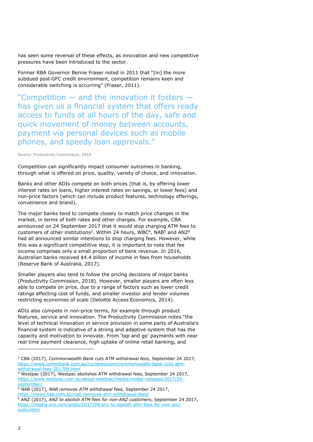has seen some reversal of these effects, as innovation and new competitive pressures have been introduced to the sector.

Former RBA Governor Bernie Fraser noted in 2011 that "[in] the more subdued post‐GFC credit environment, competition remains keen and considerable switching is occurring" (Fraser, 2011).

"Competition — and the innovation it fosters has given us a financial system that offers ready access to funds at all hours of the day, safe and quick movement of money between accounts, payment via personal devices such as mobile phones, and speedy loan approvals."

Source: Productivity Commission, 2018

Competition can significantly impact consumer outcomes in banking, through what is offered on price, quality, variety of choice, and innovation.

Banks and other ADIs compete on both prices (that is, by offering lower interest rates on loans, higher interest rates on savings, or lower fees) and non-price factors (which can include product features, technology offerings, convenience and brand).

The major banks tend to compete closely to match price changes in the market, in terms of both rates and other charges. For example, CBA announced on 24 September 2017 that it would stop charging ATM fees to customers of other institutions<sup>3</sup>. Within 24 hours, WBC<sup>4</sup>, NAB<sup>5</sup> and ANZ<sup>6</sup> had all announced similar intentions to stop charging fees. However, while this was a significant competitive step, it is important to note that fee income comprises only a small proportion of bank revenue. In 2016, Australian banks received \$4.4 billion of income in fees from households (Reserve Bank of Australia, 2017).

Smaller players also tend to follow the pricing decisions of major banks (Productivity Commission, 2018). However, smaller players are often less able to compete on price, due to a range of factors such as lower credit ratings affecting cost of funds, and smaller investor and lender volumes restricting economies of scale (Deloitte Access Economics, 2014).

ADIs also compete in non-price terms, for example through product features, service and innovation. The Productivity Commission notes "the level of technical innovation in service provision in some parts of Australia's financial system is indicative of a strong and adaptive system that has the capacity and motivation to innovate. From 'tap and go' payments with near real time payment clearance, high uptake of online retail banking, and

- <u>withdrawal-fees-201709.html</u><br><sup>4</sup> Westpac (2017), Westpac abolishes ATM withdrawal fees, September 24 2017, https://www.westpac.com.au/about-westpac/media/media-releases/2017/24 september/
- <sup>5</sup> NAB (2017), NAB removes ATM withdrawal fees, September 24 2017,
- https://news.nab.com.au/nab-removes-atm-withdrawal-fees/

<sup>&</sup>lt;sup>3</sup> CBA (2017), Commonwealth Bank cuts ATM withdrawal fees, September 24 2017, https://www.commbank.com.au/cs/newsroom/commonwealth-bank-cuts-atm-

<sup>&</sup>lt;sup>6</sup> ANZ (2017), ANZ to abolish ATM fees for non-ANZ customers, September 24 2017, https://media.anz.com/posts/2017/09/anz-to-abolish-atm-fees-for-non-anzcustomers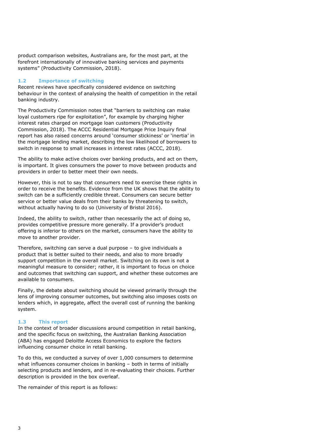product comparison websites, Australians are, for the most part, at the forefront internationally of innovative banking services and payments systems" (Productivity Commission, 2018).

### 1.2 Importance of switching

Recent reviews have specifically considered evidence on switching behaviour in the context of analysing the health of competition in the retail banking industry.

The Productivity Commission notes that "barriers to switching can make loyal customers ripe for exploitation", for example by charging higher interest rates charged on mortgage loan customers (Productivity Commission, 2018). The ACCC Residential Mortgage Price Inquiry final report has also raised concerns around 'consumer stickiness' or 'inertia' in the mortgage lending market, describing the low likelihood of borrowers to switch in response to small increases in interest rates (ACCC, 2018).

The ability to make active choices over banking products, and act on them, is important. It gives consumers the power to move between products and providers in order to better meet their own needs.

However, this is not to say that consumers need to exercise these rights in order to receive the benefits. Evidence from the UK shows that the ability to switch can be a sufficiently credible threat. Consumers can secure better service or better value deals from their banks by threatening to switch, without actually having to do so (University of Bristol 2016).

Indeed, the ability to switch, rather than necessarily the act of doing so, provides competitive pressure more generally. If a provider's product offering is inferior to others on the market, consumers have the ability to move to another provider.

Therefore, switching can serve a dual purpose – to give individuals a product that is better suited to their needs, and also to more broadly support competition in the overall market. Switching on its own is not a meaningful measure to consider; rather, it is important to focus on choice and outcomes that switching can support, and whether these outcomes are available to consumers.

Finally, the debate about switching should be viewed primarily through the lens of improving consumer outcomes, but switching also imposes costs on lenders which, in aggregate, affect the overall cost of running the banking system.

#### 1.3 This report

In the context of broader discussions around competition in retail banking, and the specific focus on switching, the Australian Banking Association (ABA) has engaged Deloitte Access Economics to explore the factors influencing consumer choice in retail banking.

To do this, we conducted a survey of over 1,000 consumers to determine what influences consumer choices in banking – both in terms of initially selecting products and lenders, and in re-evaluating their choices. Further description is provided in the box overleaf.

The remainder of this report is as follows: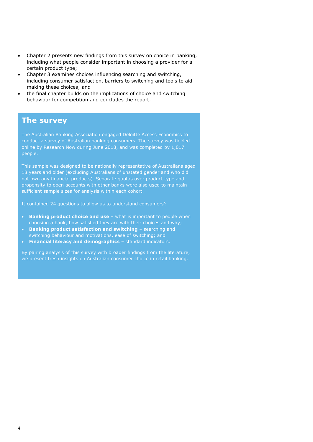- Chapter 2 presents new findings from this survey on choice in banking, including what people consider important in choosing a provider for a certain product type;
- Chapter 3 examines choices influencing searching and switching, including consumer satisfaction, barriers to switching and tools to aid making these choices; and
- the final chapter builds on the implications of choice and switching behaviour for competition and concludes the report.

### The survey

The Australian Banking Association engaged Deloitte Access Economics to conduct a survey of Australian banking consumers. The survey was fielded online by Research Now during June 2018, and was completed by 1,017 people.

This sample was designed to be nationally representative of Australians aged 18 years and older (excluding Australians of unstated gender and who did not own any financial products). Separate quotas over product type and propensity to open accounts with other banks were also used to maintain sufficient sample sizes for analysis within each cohort.

It contained 24 questions to allow us to understand consumers':

- Banking product choice and use what is important to people when choosing a bank, how satisfied they are with their choices and why;
- Banking product satisfaction and switching searching and switching behaviour and motivations, ease of switching; and
- Financial literacy and demographics standard indicators.

By pairing analysis of this survey with broader findings from the literature, we present fresh insights on Australian consumer choice in retail banking.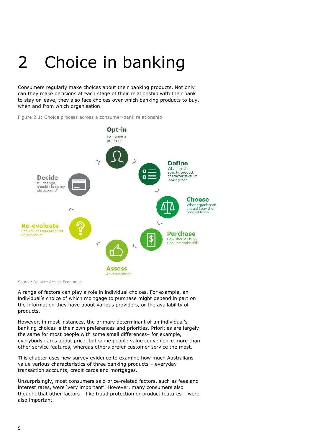# 2 Choice in banking

Consumers regularly make choices about their banking products. Not only can they make decisions at each stage of their relationship with their bank to stay or leave, they also face choices over which banking products to buy, when and from which organisation.



Figure 2.1: Choice process across a consumer-bank relationship

Source: Deloitte Access Economics

A range of factors can play a role in individual choices. For example, an individual's choice of which mortgage to purchase might depend in part on the information they have about various providers, or the availability of products.

However, in most instances, the primary determinant of an individual's banking choices is their own preferences and priorities. Priorities are largely the same for most people with some small differences– for example, everybody cares about price, but some people value convenience more than other service features, whereas others prefer customer service the most.

This chapter uses new survey evidence to examine how much Australians value various characteristics of three banking products – everyday transaction accounts, credit cards and mortgages.

Unsurprisingly, most consumers said price-related factors, such as fees and interest rates, were 'very important'. However, many consumers also thought that other factors – like fraud protection or product features – were also important.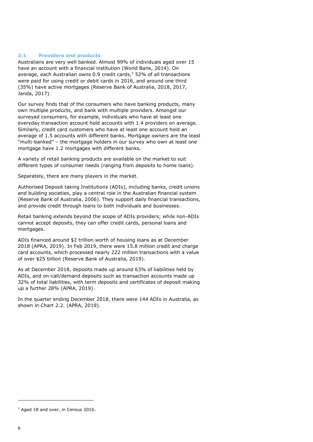#### 2.1 Providers and products

Australians are very well banked. Almost 99% of individuals aged over 15 have an account with a financial institution (World Bank, 2014). On average, each Australian owns 0.9 credit cards,<sup>7</sup> 52% of all transactions were paid for using credit or debit cards in 2016, and around one third (35%) have active mortgages (Reserve Bank of Australia, 2018, 2017, Janda, 2017).

Our survey finds that of the consumers who have banking products, many own multiple products, and bank with multiple providers. Amongst our surveyed consumers, for example, individuals who have at least one everyday transaction account hold accounts with 1.4 providers on average. Similarly, credit card customers who have at least one account hold an average of 1.5 accounts with different banks. Mortgage owners are the least "multi-banked" – the mortgage holders in our survey who own at least one mortgage have 1.2 mortgages with different banks.

A variety of retail banking products are available on the market to suit different types of consumer needs (ranging from deposits to home loans).

Separately, there are many players in the market.

Authorised Deposit taking Institutions (ADIs), including banks, credit unions and building societies, play a central role in the Australian financial system (Reserve Bank of Australia, 2006). They support daily financial transactions, and provide credit through loans to both individuals and businesses.

Retail banking extends beyond the scope of ADIs providers; while non-ADIs cannot accept deposits, they can offer credit cards, personal loans and mortgages.

ADIs financed around \$2 trillion worth of housing loans as at December 2018 (APRA, 2019). In Feb 2019, there were 15.8 million credit and charge card accounts, which processed nearly 222 million transactions with a value of over \$25 billion (Reserve Bank of Australia, 2019).

As at December 2018, deposits made up around 63% of liabilities held by ADIs, and on-call/demand deposits such as transaction accounts made up 32% of total liabilities, with term deposits and certificates of deposit making up a further 28% (APRA, 2019).

In the quarter ending December 2018, there were 144 ADIs in Australia, as shown in Chart 2.2. (APRA, 2019).

 $<sup>7</sup>$  Aged 18 and over, in Census 2016.</sup>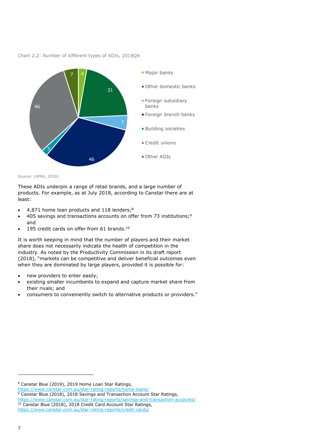



Source: (APRA, 2018)

These ADIs underpin a range of retail brands, and a large number of products. For example, as at July 2018, according to Canstar there are at least:

- $\bullet$  4,871 home loan products and 118 lenders;<sup>8</sup>
- 405 savings and transactions accounts on offer from 73 institutions;<sup>9</sup> and
- $\bullet$  195 credit cards on offer from 61 brands.<sup>10</sup>

It is worth keeping in mind that the number of players and their market share does not necessarily indicate the health of competition in the industry. As noted by the Productivity Commission in its draft report (2018), "markets can be competitive and deliver beneficial outcomes even when they are dominated by large players, provided it is possible for:

- new providers to enter easily;
- existing smaller incumbents to expand and capture market share from their rivals; and
- consumers to conveniently switch to alternative products or providers."

https://www.canstar.com.au/star-rating-reports/home-loans/

9 Canstar Blue (2018), 2018 Savings and Transaction Account Star Ratings,

<sup>8</sup> Canstar Blue (2019), 2019 Home Loan Star Ratings,

https://www.canstar.com.au/star-rating-reports/savings-and-transaction-accounts/ <sup>10</sup> Canstar Blue (2018), 2018 Credit Card Account Star Ratings, https://www.canstar.com.au/star-rating-reports/credit-cards/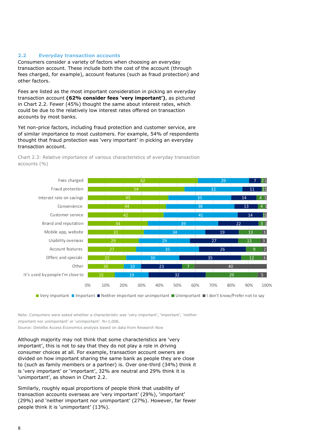#### 2.2 Everyday transaction accounts

Consumers consider a variety of factors when choosing an everyday transaction account. These include both the cost of the account (through fees charged, for example), account features (such as fraud protection) and other factors.

Fees are listed as the most important consideration in picking an everyday transaction account (62% consider fees 'very important'), as pictured in Chart 2.2. Fewer (45%) thought the same about interest rates, which could be due to the relatively low interest rates offered on transaction accounts by most banks.

Yet non-price factors, including fraud protection and customer service, are of similar importance to most customers. For example, 54% of respondents thought that fraud protection was 'very important' in picking an everyday transaction account.



Chart 2.3: Relative importance of various characteristics of everyday transaction accounts (%)

■ Very important ■ Important ■ Neither important nor unimportant ■ Unimportant ■ I don't know/Prefer not to say

Note: Consumers were asked whether a characteristic was 'very important', 'important', 'neither important nor unimportant' or 'unimportant'. N=1,006.

Source: Deloitte Access Economics analysis based on data from Research Now

Although majority may not think that some characteristics are 'very important', this is not to say that they do not play a role in driving consumer choices at all. For example, transaction account owners are divided on how important sharing the same bank as people they are close to (such as family members or a partner) is. Over one-third (34%) think it is 'very important' or 'important', 32% are neutral and 29% think it is 'unimportant', as shown in Chart 2.2.

Similarly, roughly equal proportions of people think that usability of transaction accounts overseas are 'very important' (29%), 'important' (29%) and 'neither important nor unimportant' (27%). However, far fewer people think it is 'unimportant' (13%).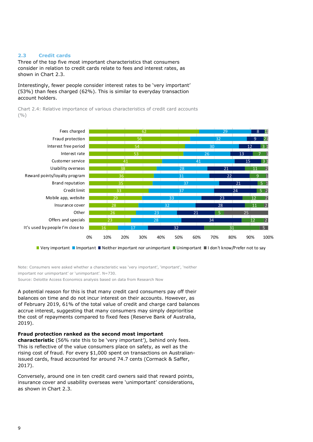### 2.3 Credit cards

Three of the top five most important characteristics that consumers consider in relation to credit cards relate to fees and interest rates, as shown in Chart 2.3.

Interestingly, fewer people consider interest rates to be 'very important' (53%) than fees charged (62%). This is similar to everyday transaction account holders.

Chart 2.4: Relative importance of various characteristics of credit card accounts  $($ % $)$ 



Very important Important IN Neither important nor unimportant II Unimportant II don't know/Prefer not to say

Note: Consumers were asked whether a characteristic was 'very important', 'important', 'neither important nor unimportant' or 'unimportant'. N=730.

Source: Deloitte Access Economics analysis based on data from Research Now

A potential reason for this is that many credit card consumers pay off their balances on time and do not incur interest on their accounts. However, as of February 2019, 61% of the total value of credit and charge card balances accrue interest, suggesting that many consumers may simply deprioritise the cost of repayments compared to fixed fees (Reserve Bank of Australia, 2019).

#### Fraud protection ranked as the second most important

characteristic (56% rate this to be 'very important'), behind only fees. This is reflective of the value consumers place on safety, as well as the rising cost of fraud. For every \$1,000 spent on transactions on Australianissued cards, fraud accounted for around 74.7 cents (Cormack & Saffer, 2017).

Conversely, around one in ten credit card owners said that reward points, insurance cover and usability overseas were 'unimportant' considerations, as shown in Chart 2.3.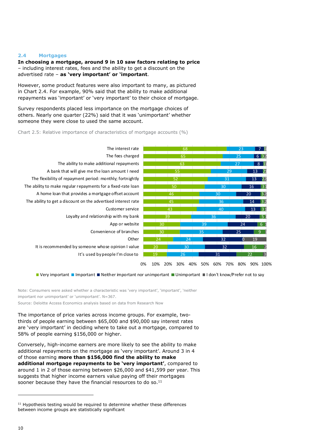#### 2.4 Mortgages

In choosing a mortgage, around 9 in 10 saw factors relating to price – including interest rates, fees and the ability to get a discount on the advertised rate - as 'very important' or 'important.

However, some product features were also important to many, as pictured in Chart 2.4. For example, 90% said that the ability to make additional repayments was 'important' or 'very important' to their choice of mortgage.

Survey respondents placed less importance on the mortgage choices of others. Nearly one quarter (22%) said that it was 'unimportant' whether someone they were close to used the same account.

#### Chart 2.5: Relative importance of characteristics of mortgage accounts (%)



■ Very important ■ Important ■ Neither important nor unimportant ■ Unimportant ■ I don't know/Prefer not to say

Note: Consumers were asked whether a characteristic was 'very important', 'important', 'neither important nor unimportant' or 'unimportant'. N=367.

Source: Deloitte Access Economics analysis based on data from Research Now

The importance of price varies across income groups. For example, twothirds of people earning between \$65,000 and \$90,000 say interest rates are 'very important' in deciding where to take out a mortgage, compared to 58% of people earning \$156,000 or higher.

Conversely, high-income earners are more likely to see the ability to make additional repayments on the mortgage as 'very important'. Around 3 in 4 of those earning more than \$156,000 find the ability to make additional mortgage repayments to be 'very important', compared to around 1 in 2 of those earning between \$26,000 and \$41,599 per year. This suggests that higher income earners value paying off their mortgages sooner because they have the financial resources to do so.<sup>11</sup>

 Hypothesis testing would be required to determine whether these differences between income groups are statistically significant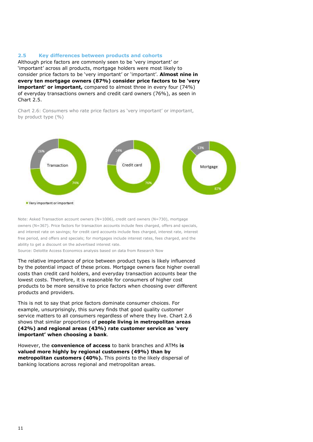#### 2.5 Key differences between products and cohorts

Although price factors are commonly seen to be 'very important' or 'important' across all products, mortgage holders were most likely to consider price factors to be 'very important' or 'important'. Almost nine in every ten mortgage owners (87%) consider price factors to be 'very important' or important, compared to almost three in every four (74%) of everyday transactions owners and credit card owners (76%), as seen in Chart 2.5.

Chart 2.6: Consumers who rate price factors as 'very important' or important, by product type (%)



Note: Asked Transaction account owners (N=1006), credit card owners (N=730), mortgage owners (N=367). Price factors for transaction accounts include fees charged, offers and specials, and interest rate on savings; for credit card accounts include fees charged, interest rate, interest free period, and offers and specials; for mortgages include interest rates, fees charged, and the ability to get a discount on the advertised interest rate.

Source: Deloitte Access Economics analysis based on data from Research Now

The relative importance of price between product types is likely influenced by the potential impact of these prices. Mortgage owners face higher overall costs than credit card holders, and everyday transaction accounts bear the lowest costs. Therefore, it is reasonable for consumers of higher cost products to be more sensitive to price factors when choosing over different products and providers.

This is not to say that price factors dominate consumer choices. For example, unsurprisingly, this survey finds that good quality customer service matters to all consumers regardless of where they live. Chart 2.6 shows that similar proportions of people living in metropolitan areas (42%) and regional areas (43%) rate customer service as 'very important' when choosing a bank.

However, the convenience of access to bank branches and ATMs is valued more highly by regional customers (49%) than by metropolitan customers (40%). This points to the likely dispersal of banking locations across regional and metropolitan areas.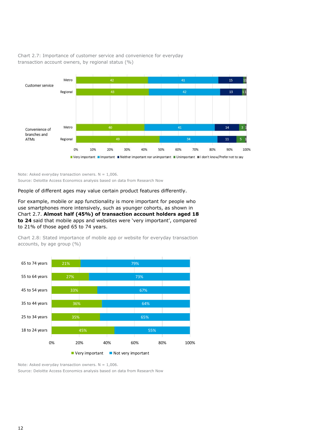

Chart 2.7: Importance of customer service and convenience for everyday transaction account owners, by regional status (%)

Note: Asked everyday transaction owners.  $N = 1.006$ .

Source: Deloitte Access Economics analysis based on data from Research Now

People of different ages may value certain product features differently.

For example, mobile or app functionality is more important for people who use smartphones more intensively, such as younger cohorts, as shown in Chart 2.7. Almost half (45%) of transaction account holders aged 18 to 24 said that mobile apps and websites were 'very important', compared to 21% of those aged 65 to 74 years.

Chart 2.8: Stated importance of mobile app or website for everyday transaction accounts, by age group (%)



Note: Asked everyday transaction owners.  $N = 1,006$ .

Source: Deloitte Access Economics analysis based on data from Research Now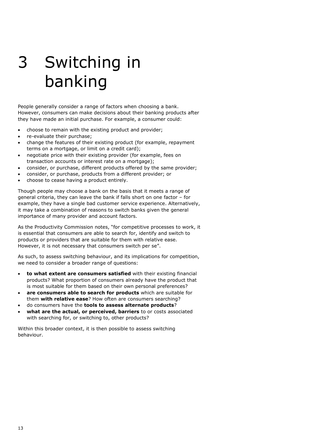# 3 Switching in banking

People generally consider a range of factors when choosing a bank. However, consumers can make decisions about their banking products after they have made an initial purchase. For example, a consumer could:

- choose to remain with the existing product and provider;
- re-evaluate their purchase;
- change the features of their existing product (for example, repayment terms on a mortgage, or limit on a credit card);
- negotiate price with their existing provider (for example, fees on transaction accounts or interest rate on a mortgage);
- consider, or purchase, different products offered by the same provider;
- consider, or purchase, products from a different provider; or
- choose to cease having a product entirely.

Though people may choose a bank on the basis that it meets a range of general criteria, they can leave the bank if falls short on one factor – for example, they have a single bad customer service experience. Alternatively, it may take a combination of reasons to switch banks given the general importance of many provider and account factors.

As the Productivity Commission notes, "for competitive processes to work, it is essential that consumers are able to search for, identify and switch to products or providers that are suitable for them with relative ease. However, it is not necessary that consumers switch per se".

As such, to assess switching behaviour, and its implications for competition, we need to consider a broader range of questions:

- to what extent are consumers satisfied with their existing financial products? What proportion of consumers already have the product that is most suitable for them based on their own personal preferences?
- are consumers able to search for products which are suitable for them with relative ease? How often are consumers searching?
- do consumers have the tools to assess alternate products?
- what are the actual, or perceived, barriers to or costs associated with searching for, or switching to, other products?

Within this broader context, it is then possible to assess switching behaviour.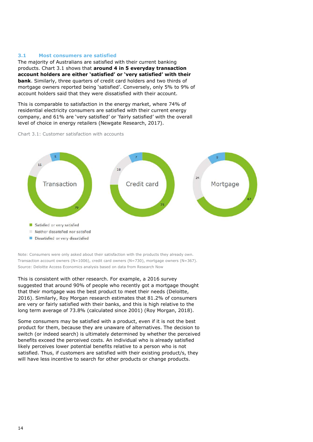#### 3.1 Most consumers are satisfied

The majority of Australians are satisfied with their current banking products. Chart 3.1 shows that around 4 in 5 everyday transaction account holders are either 'satisfied' or 'very satisfied' with their bank. Similarly, three quarters of credit card holders and two thirds of mortgage owners reported being 'satisfied'. Conversely, only 5% to 9% of account holders said that they were dissatisfied with their account.

This is comparable to satisfaction in the energy market, where 74% of residential electricity consumers are satisfied with their current energy company, and 61% are 'very satisfied' or 'fairly satisfied' with the overall level of choice in energy retailers (Newgate Research, 2017).

Chart 3.1: Customer satisfaction with accounts



Note: Consumers were only asked about their satisfaction with the products they already own. Transaction account owners (N=1006), credit card owners (N=730), mortgage owners (N=367). Source: Deloitte Access Economics analysis based on data from Research Now

This is consistent with other research. For example, a 2016 survey suggested that around 90% of people who recently got a mortgage thought that their mortgage was the best product to meet their needs (Deloitte, 2016). Similarly, Roy Morgan research estimates that 81.2% of consumers are very or fairly satisfied with their banks, and this is high relative to the long term average of 73.8% (calculated since 2001) (Roy Morgan, 2018).

Some consumers may be satisfied with a product, even if it is not the best product for them, because they are unaware of alternatives. The decision to switch (or indeed search) is ultimately determined by whether the perceived benefits exceed the perceived costs. An individual who is already satisfied likely perceives lower potential benefits relative to a person who is not satisfied. Thus, if customers are satisfied with their existing product/s, they will have less incentive to search for other products or change products.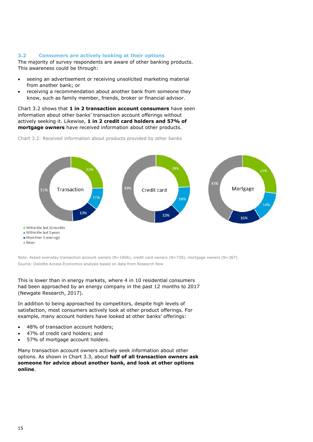#### 3.2 Consumers are actively looking at their options

The majority of survey respondents are aware of other banking products. This awareness could be through:

- seeing an advertisement or receiving unsolicited marketing material from another bank; or
- receiving a recommendation about another bank from someone they know, such as family member, friends, broker or financial advisor.

Chart 3.2 shows that 1 in 2 transaction account consumers have seen information about other banks' transaction account offerings without actively seeking it. Likewise, 1 in 2 credit card holders and 57% of mortgage owners have received information about other products.

Chart 3.2: Received information about products provided by other banks



Note: Asked everyday transaction account owners (N=1006), credit card owners (N=730), mortgage owners (N=367).

Source: Deloitte Access Economics analysis based on data from Research Now

This is lower than in energy markets, where 4 in 10 residential consumers had been approached by an energy company in the past 12 months to 2017 (Newgate Research, 2017).

In addition to being approached by competitors, despite high levels of satisfaction, most consumers actively look at other product offerings. For example, many account holders have looked at other banks' offerings:

- 48% of transaction account holders;
- 47% of credit card holders; and
- 57% of mortgage account holders.

Many transaction account owners actively seek information about other options. As shown in Chart 3.3, about half of all transaction owners ask someone for advice about another bank, and look at other options online.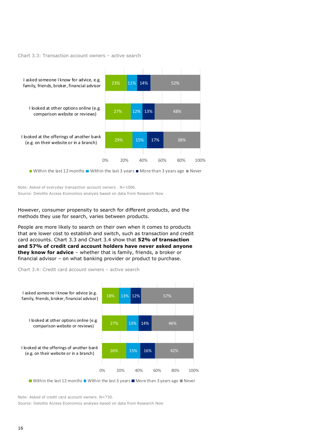#### Chart 3.3: Transaction account owners – active search



Note: Asked of everyday transaction account owners . N=1006. Source: Deloitte Access Economics analysis based on data from Research Now

However, consumer propensity to search for different products, and the methods they use for search, varies between products.

People are more likely to search on their own when it comes to products that are lower cost to establish and switch, such as transaction and credit card accounts. Chart 3.3 and Chart 3.4 show that 52% of transaction and 57% of credit card account holders have never asked anyone they know for advice - whether that is family, friends, a broker or financial advisor – on what banking provider or product to purchase.

Chart 3.4: Credit card account owners – active search



Within the last 12 months Within the last 3 years  $\blacksquare$  More than 3 years ago  $\blacksquare$  Never

Note: Asked of credit card account owners. N=730.

Source: Deloitte Access Economics analysis based on data from Research Now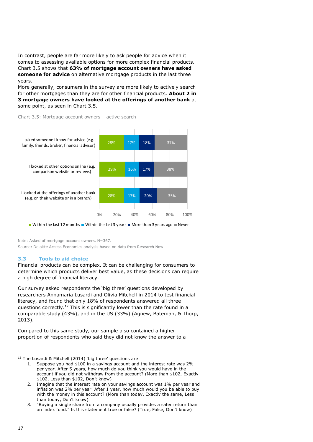In contrast, people are far more likely to ask people for advice when it comes to assessing available options for more complex financial products. Chart 3.5 shows that 63% of mortgage account owners have asked someone for advice on alternative mortgage products in the last three years.

More generally, consumers in the survey are more likely to actively search for other mortgages than they are for other financial products. About 2 in 3 mortgage owners have looked at the offerings of another bank at some point, as seen in Chart 3.5.





Within the last 12 months Within the last 3 years More than 3 years ago Never

Note: Asked of mortgage account owners. N=367.

Source: Deloitte Access Economics analysis based on data from Research Now

### 3.3 Tools to aid choice

Financial products can be complex. It can be challenging for consumers to determine which products deliver best value, as these decisions can require a high degree of financial literacy.

Our survey asked respondents the 'big three' questions developed by researchers Annamaria Lusardi and Olivia Mitchell in 2014 to test financial literacy, and found that only 18% of respondents answered all three questions correctly.<sup>12</sup> This is significantly lower than the rate found in a comparable study (43%), and in the US (33%) (Agnew, Bateman, & Thorp, 2013).

Compared to this same study, our sample also contained a higher proportion of respondents who said they did not know the answer to a

<sup>12</sup> The Lusardi & Mitchell (2014) 'big three' questions are:

<sup>1.</sup> Suppose you had \$100 in a savings account and the interest rate was 2% per year. After 5 years, how much do you think you would have in the account if you did not withdraw from the account? (More than \$102, Exactly \$102, Less than \$102, Don't know)

<sup>2.</sup> Imagine that the interest rate on your savings account was 1% per year and inflation was 2% per year. After 1 year, how much would you be able to buy with the money in this account? (More than today, Exactly the same, Less than today, Don't know)

<sup>3.</sup> "Buying a single share from a company usually provides a safer return than an index fund." Is this statement true or false? (True, False, Don't know)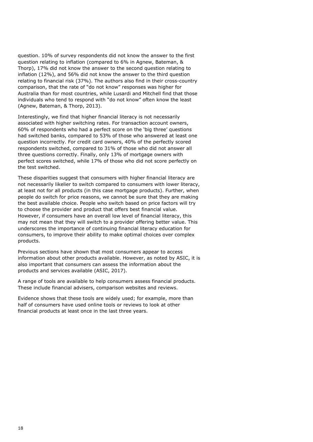question. 10% of survey respondents did not know the answer to the first question relating to inflation (compared to 6% in Agnew, Bateman, & Thorp), 17% did not know the answer to the second question relating to inflation (12%), and 56% did not know the answer to the third question relating to financial risk (37%). The authors also find in their cross-country comparison, that the rate of "do not know" responses was higher for Australia than for most countries, while Lusardi and Mitchell find that those individuals who tend to respond with "do not know" often know the least (Agnew, Bateman, & Thorp, 2013).

Interestingly, we find that higher financial literacy is not necessarily associated with higher switching rates. For transaction account owners, 60% of respondents who had a perfect score on the 'big three' questions had switched banks, compared to 53% of those who answered at least one question incorrectly. For credit card owners, 40% of the perfectly scored respondents switched, compared to 31% of those who did not answer all three questions correctly. Finally, only 13% of mortgage owners with perfect scores switched, while 17% of those who did not score perfectly on the test switched.

These disparities suggest that consumers with higher financial literacy are not necessarily likelier to switch compared to consumers with lower literacy, at least not for all products (in this case mortgage products). Further, when people do switch for price reasons, we cannot be sure that they are making the best available choice. People who switch based on price factors will try to choose the provider and product that offers best financial value. However, if consumers have an overall low level of financial literacy, this may not mean that they will switch to a provider offering better value. This underscores the importance of continuing financial literacy education for consumers, to improve their ability to make optimal choices over complex products.

Previous sections have shown that most consumers appear to access information about other products available. However, as noted by ASIC, it is also important that consumers can assess the information about the products and services available (ASIC, 2017).

A range of tools are available to help consumers assess financial products. These include financial advisers, comparison websites and reviews.

Evidence shows that these tools are widely used; for example, more than half of consumers have used online tools or reviews to look at other financial products at least once in the last three years.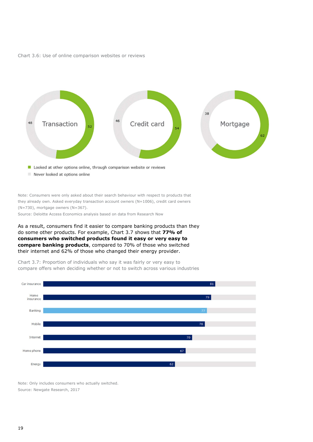Chart 3.6: Use of online comparison websites or reviews



Note: Consumers were only asked about their search behaviour with respect to products that they already own. Asked everyday transaction account owners (N=1006), credit card owners (N=730), mortgage owners (N=367).

Source: Deloitte Access Economics analysis based on data from Research Now

As a result, consumers find it easier to compare banking products than they do some other products. For example, Chart 3.7 shows that 77% of consumers who switched products found it easy or very easy to compare banking products, compared to 70% of those who switched their internet and 62% of those who changed their energy provider.

Chart 3.7: Proportion of individuals who say it was fairly or very easy to compare offers when deciding whether or not to switch across various industries



Note: Only includes consumers who actually switched. Source: Newgate Research, 2017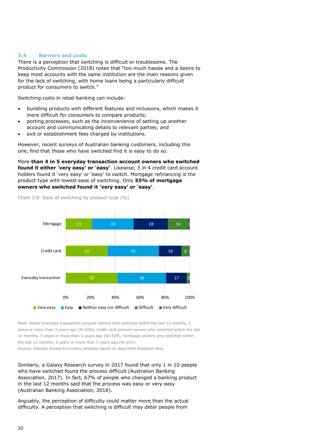#### 3.4 Barriers and costs

There is a perception that switching is difficult or troublesome. The Productivity Commission (2018) notes that "too much hassle and a desire to keep most accounts with the same institution are the main reasons given for the lack of switching, with home loans being a particularly difficult product for consumers to switch."

Switching costs in retail banking can include:

- bundling products with different features and inclusions, which makes it more difficult for consumers to compare products;
- porting processes, such as the inconvenience of setting up another account and communicating details to relevant parties; and
- exit or establishment fees charged by institutions.

However, recent surveys of Australian banking customers, including this one, find that those who have switched find it is easy to do so.

More than 4 in 5 everyday transaction account owners who switched found it either 'very easy' or 'easy'. Likewise, 3 in 4 credit card account holders found it 'very easy' or 'easy' to switch. Mortgage refinancing is the product type with lowest ease of switching. Only 55% of mortgage owners who switched found it 'very easy' or 'easy'.



Chart 3.8: Ease of switching by product type (%)

Note: Asked everyday transaction account owners who switched within the last 12 months, 3 years or more than 3 years ago (N=556), credit card account owners who switched within the last 12 months, 3 years or more than 3 years ago (N=329), mortgage owners who switched within the last 12 months, 3 years or more than 3 years ago (N=201).

Source: Deloitte Access Economics analysis based on data from Research Now

Similarly, a Galaxy Research survey in 2017 found that only 1 in 10 people who have switched found the process difficult (Australian Banking Association, 2017). In fact, 67% of people who changed a banking product in the last 12 months said that the process was easy or very easy (Australian Banking Association, 2018).

Arguably, the perception of difficulty could matter more than the actual difficulty. A perception that switching is difficult may deter people from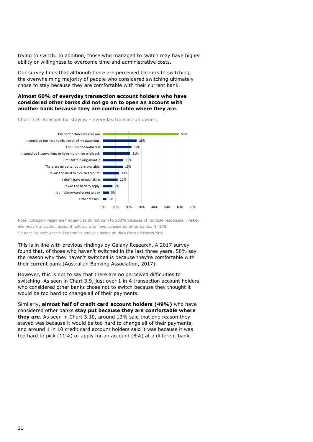trying to switch. In addition, those who managed to switch may have higher ability or willingness to overcome time and administrative costs.

Our survey finds that although there are perceived barriers to switching, the overwhelming majority of people who considered switching ultimately chose to stay because they are comfortable with their current bank.

#### Almost 60% of everyday transaction account holders who have considered other banks did not go on to open an account with another bank because they are comfortable where they are.



Chart 3.9: Reasons for staying – everyday transaction owners

Note: Category response frequencies do not sum to 100% because of multiple responses. . Asked everyday transaction account holders who have considered other banks. N=175. Source: Deloitte Access Economics analysis based on data from Research Now

This is in line with previous findings by Galaxy Research. A 2017 survey found that, of those who haven't switched in the last three years, 58% say the reason why they haven't switched is because they're comfortable with their current bank (Australian Banking Association, 2017).

However, this is not to say that there are no perceived difficulties to switching. As seen in Chart 3.9, just over 1 in 4 transaction account holders who considered other banks chose not to switch because they thought it would be too hard to change all of their payments.

Similarly, almost half of credit card account holders (49%) who have considered other banks stay put because they are comfortable where they are. As seen in Chart 3.10, around 13% said that one reason they stayed was because it would be too hard to change all of their payments, and around 1 in 10 credit card account holders said it was because it was too hard to pick (11%) or apply for an account (8%) at a different bank.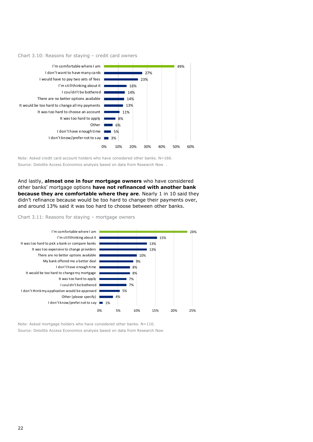



Note: Asked credit card account holders who have considered other banks. N=166. Source: Deloitte Access Economics analysis based on data from Research Now .

And lastly, almost one in four mortgage owners who have considered other banks' mortgage options have not refinanced with another bank because they are comfortable where they are. Nearly 1 in 10 said they didn't refinance because would be too hard to change their payments over, and around 13% said it was too hard to choose between other banks.

#### Chart 3.11: Reasons for staying – mortgage owners



Note: Asked mortgage holders who have considered other banks. N=110. Source: Deloitte Access Economics analysis based on data from Research Now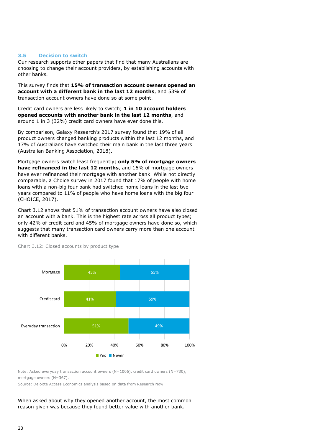#### 3.5 Decision to switch

Our research supports other papers that find that many Australians are choosing to change their account providers, by establishing accounts with other banks.

This survey finds that 15% of transaction account owners opened an account with a different bank in the last 12 months, and 53% of transaction account owners have done so at some point.

Credit card owners are less likely to switch; 1 in 10 account holders opened accounts with another bank in the last 12 months, and around 1 in 3 (32%) credit card owners have ever done this.

By comparison, Galaxy Research's 2017 survey found that 19% of all product owners changed banking products within the last 12 months, and 17% of Australians have switched their main bank in the last three years (Australian Banking Association, 2018).

Mortgage owners switch least frequently; only 5% of mortgage owners have refinanced in the last 12 months, and 16% of mortgage owners have ever refinanced their mortgage with another bank. While not directly comparable, a Choice survey in 2017 found that 17% of people with home loans with a non-big four bank had switched home loans in the last two years compared to 11% of people who have home loans with the big four (CHOICE, 2017).

Chart 3.12 shows that 51% of transaction account owners have also closed an account with a bank. This is the highest rate across all product types; only 42% of credit card and 45% of mortgage owners have done so, which suggests that many transaction card owners carry more than one account with different banks.



Chart 3.12: Closed accounts by product type

Note: Asked everyday transaction account owners (N=1006), credit card owners (N=730),  $mortcase$  owners  $(N=367)$ .

Source: Deloitte Access Economics analysis based on data from Research Now

When asked about why they opened another account, the most common reason given was because they found better value with another bank.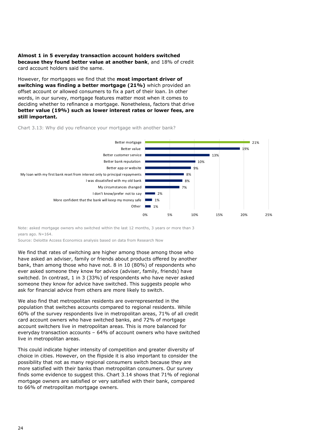#### Almost 1 in 5 everyday transaction account holders switched because they found better value at another bank, and 18% of credit card account holders said the same.

However, for mortgages we find that the **most important driver of** switching was finding a better mortgage (21%) which provided an offset account or allowed consumers to fix a part of their loan. In other words, in our survey, mortgage features matter most when it comes to deciding whether to refinance a mortgage. Nonetheless, factors that drive better value (19%) such as lower interest rates or lower fees, are still important.

#### Chart 3.13: Why did you refinance your mortgage with another bank?



Note: asked mortgage owners who switched within the last 12 months, 3 years or more than 3 vears ago.  $N=164$ .

Source: Deloitte Access Economics analysis based on data from Research Now

We find that rates of switching are higher among those among those who have asked an adviser, family or friends about products offered by another bank, than among those who have not. 8 in 10 (80%) of respondents who ever asked someone they know for advice (adviser, family, friends) have switched. In contrast, 1 in 3 (33%) of respondents who have never asked someone they know for advice have switched. This suggests people who ask for financial advice from others are more likely to switch.

We also find that metropolitan residents are overrepresented in the population that switches accounts compared to regional residents. While 60% of the survey respondents live in metropolitan areas, 71% of all credit card account owners who have switched banks, and 72% of mortgage account switchers live in metropolitan areas. This is more balanced for everyday transaction accounts – 64% of account owners who have switched live in metropolitan areas.

This could indicate higher intensity of competition and greater diversity of choice in cities. However, on the flipside it is also important to consider the possibility that not as many regional consumers switch because they are more satisfied with their banks than metropolitan consumers. Our survey finds some evidence to suggest this. Chart 3.14 shows that 71% of regional mortgage owners are satisfied or very satisfied with their bank, compared to 66% of metropolitan mortgage owners.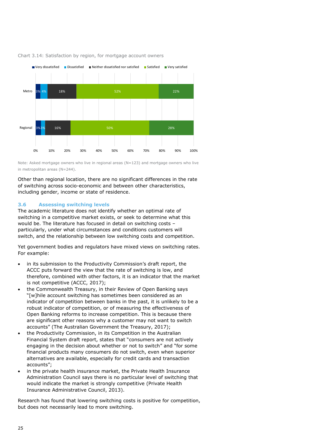

#### Chart 3.14: Satisfaction by region, for mortgage account owners

Note: Asked mortgage owners who live in regional areas (N=123) and mortgage owners who live in metropolitan areas (N=244).

Other than regional location, there are no significant differences in the rate of switching across socio-economic and between other characteristics, including gender, income or state of residence.

#### 3.6 Assessing switching levels

The academic literature does not identify whether an optimal rate of switching in a competitive market exists, or seek to determine what this would be. The literature has focused in detail on switching costs – particularly, under what circumstances and conditions customers will switch, and the relationship between low switching costs and competition.

Yet government bodies and regulators have mixed views on switching rates. For example:

- in its submission to the Productivity Commission's draft report, the ACCC puts forward the view that the rate of switching is low, and therefore, combined with other factors, it is an indicator that the market is not competitive (ACCC, 2017);
- the Commonwealth Treasury, in their Review of Open Banking says "[w]hile account switching has sometimes been considered as an indicator of competition between banks in the past, it is unlikely to be a robust indicator of competition, or of measuring the effectiveness of Open Banking reforms to increase competition. This is because there are significant other reasons why a customer may not want to switch accounts" (The Australian Government the Treasury, 2017);
- the Productivity Commission, in its Competition in the Australian Financial System draft report, states that "consumers are not actively engaging in the decision about whether or not to switch" and "for some financial products many consumers do not switch, even when superior alternatives are available, especially for credit cards and transaction accounts";
- in the private health insurance market, the Private Health Insurance Administration Council says there is no particular level of switching that would indicate the market is strongly competitive (Private Health Insurance Administrative Council, 2013).

Research has found that lowering switching costs is positive for competition, but does not necessarily lead to more switching.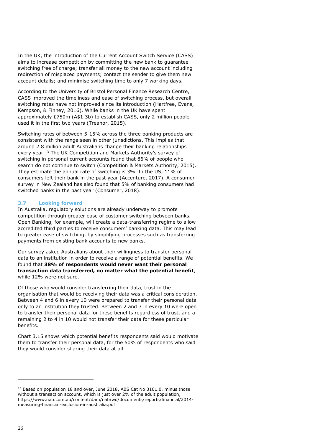In the UK, the introduction of the Current Account Switch Service (CASS) aims to increase competition by committing the new bank to guarantee switching free of charge; transfer all money to the new account including redirection of misplaced payments; contact the sender to give them new account details; and minimise switching time to only 7 working days.

According to the University of Bristol Personal Finance Research Centre, CASS improved the timeliness and ease of switching process, but overall switching rates have not improved since its introduction (Hartfree, Evans, Kempson, & Finney, 2016). While banks in the UK have spent approximately £750m (A\$1.3b) to establish CASS, only 2 million people used it in the first two years (Treanor, 2015).

Switching rates of between 5-15% across the three banking products are consistent with the range seen in other jurisdictions. This implies that around 2.8 million adult Australians change their banking relationships every year.<sup>13</sup> The UK Competition and Markets Authority's survey of switching in personal current accounts found that 86% of people who search do not continue to switch (Competition & Markets Authority, 2015). They estimate the annual rate of switching is 3%. In the US, 11% of consumers left their bank in the past year (Accenture, 2017). A consumer survey in New Zealand has also found that 5% of banking consumers had switched banks in the past year (Consumer, 2018).

#### 3.7 Looking forward

In Australia, regulatory solutions are already underway to promote competition through greater ease of customer switching between banks. Open Banking, for example, will create a data-transferring regime to allow accredited third parties to receive consumers' banking data. This may lead to greater ease of switching, by simplifying processes such as transferring payments from existing bank accounts to new banks.

Our survey asked Australians about their willingness to transfer personal data to an institution in order to receive a range of potential benefits. We found that 38% of respondents would never want their personal transaction data transferred, no matter what the potential benefit, while 12% were not sure.

Of those who would consider transferring their data, trust in the organisation that would be receiving their data was a critical consideration. Between 4 and 6 in every 10 were prepared to transfer their personal data only to an institution they trusted. Between 2 and 3 in every 10 were open to transfer their personal data for these benefits regardless of trust, and a remaining 2 to 4 in 10 would not transfer their data for these particular benefits.

Chart 3.15 shows which potential benefits respondents said would motivate them to transfer their personal data, for the 50% of respondents who said they would consider sharing their data at all.

<sup>&</sup>lt;sup>13</sup> Based on population 18 and over, June 2018, ABS Cat No 3101.0, minus those without a transaction account, which is just over 2% of the adult population, https://www.nab.com.au/content/dam/nabrwd/documents/reports/financial/2014 measuring-financial-exclusion-in-australia.pdf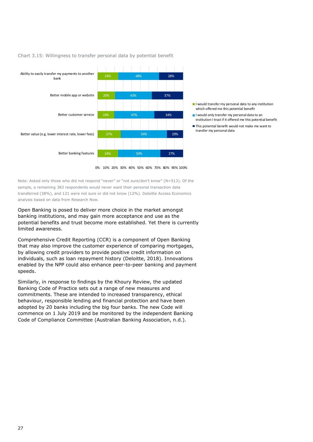

#### Chart 3.15: Willingness to transfer personal data by potential benefit

- I would transfer my personal data to any institution which offered me this potential benefit
- I would only transfer my personal data to an institution I trust if it offered me this potential benefit
- This potential benefit would not make me want to transfer my personal data

Note: Asked only those who did not respond "never" or "not sure/don't know" (N=513). Of the sample, a remaining 383 respondents would never want their personal transaction data transferred (38%), and 121 were not sure or did not know (12%). Deloitte Access Economics analysis based on data from Research Now.

Open Banking is posed to deliver more choice in the market amongst banking institutions, and may gain more acceptance and use as the potential benefits and trust become more established. Yet there is currently limited awareness.

Comprehensive Credit Reporting (CCR) is a component of Open Banking that may also improve the customer experience of comparing mortgages, by allowing credit providers to provide positive credit information on individuals, such as loan repayment history (Deloitte, 2018). Innovations enabled by the NPP could also enhance peer-to-peer banking and payment speeds.

Similarly, in response to findings by the Khoury Review, the updated Banking Code of Practice sets out a range of new measures and commitments. These are intended to increased transparency, ethical behaviour, responsible lending and financial protection and have been adopted by 20 banks including the big four banks. The new Code will commence on 1 July 2019 and be monitored by the independent Banking Code of Compliance Committee (Australian Banking Association, n.d.).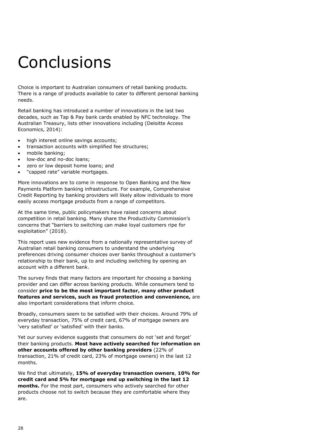## **Conclusions**

Choice is important to Australian consumers of retail banking products. There is a range of products available to cater to different personal banking needs.

Retail banking has introduced a number of innovations in the last two decades, such as Tap & Pay bank cards enabled by NFC technology. The Australian Treasury, lists other innovations including (Deloitte Access Economics, 2014):

- high interest online savings accounts;
- transaction accounts with simplified fee structures;
- mobile banking;
- low-doc and no-doc loans;
- zero or low deposit home loans; and
- "capped rate" variable mortgages.

More innovations are to come in response to Open Banking and the New Payments Platform banking infrastructure. For example, Comprehensive Credit Reporting by banking providers will likely allow individuals to more easily access mortgage products from a range of competitors.

At the same time, public policymakers have raised concerns about competition in retail banking. Many share the Productivity Commission's concerns that "barriers to switching can make loyal customers ripe for exploitation" (2018).

This report uses new evidence from a nationally representative survey of Australian retail banking consumers to understand the underlying preferences driving consumer choices over banks throughout a customer's relationship to their bank, up to and including switching by opening an account with a different bank.

The survey finds that many factors are important for choosing a banking provider and can differ across banking products. While consumers tend to consider price to be the most important factor, many other product features and services, such as fraud protection and convenience, are also important considerations that inform choice.

Broadly, consumers seem to be satisfied with their choices. Around 79% of everyday transaction, 75% of credit card, 67% of mortgage owners are 'very satisfied' or 'satisfied' with their banks.

Yet our survey evidence suggests that consumers do not 'set and forget' their banking products. Most have actively searched for information on other accounts offered by other banking providers (22% of transaction, 21% of credit card, 23% of mortgage owners) in the last 12 months.

We find that ultimately, 15% of everyday transaction owners, 10% for credit card and 5% for mortgage end up switching in the last 12 months. For the most part, consumers who actively searched for other products choose not to switch because they are comfortable where they are.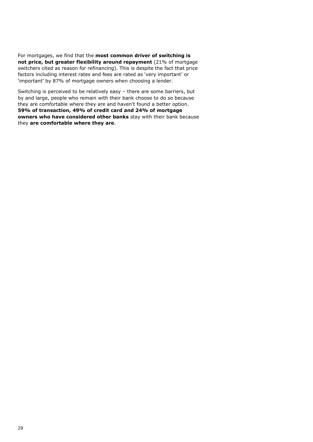For mortgages, we find that the most common driver of switching is not price, but greater flexibility around repayment (21% of mortgage switchers cited as reason for refinancing). This is despite the fact that price factors including interest rates and fees are rated as 'very important' or 'important' by 87% of mortgage owners when choosing a lender.

Switching is perceived to be relatively easy – there are some barriers, but by and large, people who remain with their bank choose to do so because they are comfortable where they are and haven't found a better option. 59% of transaction, 49% of credit card and 24% of mortgage owners who have considered other banks stay with their bank because they are comfortable where they are.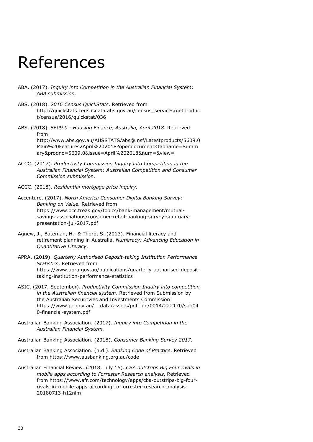### References

- ABA. (2017). Inquiry into Competition in the Australian Financial System: ABA submission.
- ABS. (2018). 2016 Census QuickStats. Retrieved from http://quickstats.censusdata.abs.gov.au/census\_services/getproduc t/census/2016/quickstat/036
- ABS. (2018). 5609.0 Housing Finance, Australia, April 2018. Retrieved from http://www.abs.gov.au/AUSSTATS/abs@.nsf/Latestproducts/5609.0 Main%20Features2April%202018?opendocument&tabname=Summ ary&prodno=5609.0&issue=April%202018&num=&view=
- ACCC. (2017). Productivity Commission Inquiry into Competition in the Australian Financial System: Australian Competition and Consumer Commission submission.
- ACCC. (2018). Residential mortgage price inquiry.
- Accenture. (2017). North America Consumer Digital Banking Survey: Banking on Value. Retrieved from https://www.occ.treas.gov/topics/bank-management/mutualsavings-associations/consumer-retail-banking-survey-summarypresentation-jul-2017.pdf
- Agnew, J., Bateman, H., & Thorp, S. (2013). Financial literacy and retirement planning in Australia. Numeracy: Advancing Education in Quantitative Literacy.
- APRA. (2019). Quarterly Authorised Deposit-taking Institution Performance Statistics. Retrieved from https://www.apra.gov.au/publications/quarterly-authorised-deposittaking-institution-performance-statistics
- ASIC. (2017, September). Productivity Commission Inquiry into competition in the Australian financial system. Retrieved from Submission by the Australian Securitvies and Investments Commission: https://www.pc.gov.au/\_\_data/assets/pdf\_file/0014/222170/sub04 0-financial-system.pdf
- Australian Banking Association. (2017). Inquiry into Competition in the Australian Financial System.

Australian Banking Association. (2018). Consumer Banking Survey 2017.

- Australian Banking Association. (n.d.). Banking Code of Practice. Retrieved from https://www.ausbanking.org.au/code
- Australian Financial Review. (2018, July 16). CBA outstrips Big Four rivals in mobile apps according to Forrester Research analysis. Retrieved from https://www.afr.com/technology/apps/cba-outstrips-big-fourrivals-in-mobile-apps-according-to-forrester-research-analysis-20180713-h12nlm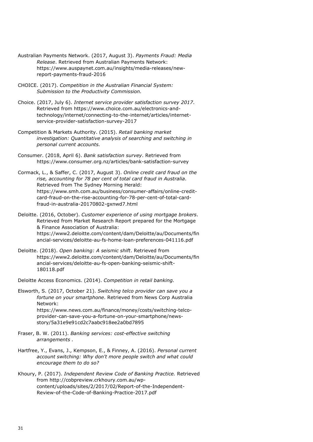- Australian Payments Network. (2017, August 3). Payments Fraud: Media Release. Retrieved from Australian Payments Network: https://www.auspaynet.com.au/insights/media-releases/newreport-payments-fraud-2016
- CHOICE. (2017). Competition in the Australian Financial System: Submission to the Productivity Commission.
- Choice. (2017, July 6). Internet service provider satisfaction survey 2017. Retrieved from https://www.choice.com.au/electronics-andtechnology/internet/connecting-to-the-internet/articles/internetservice-provider-satisfaction-survey-2017
- Competition & Markets Authority. (2015). Retail banking market investigation: Quantitative analysis of searching and switching in personal current accounts.
- Consumer. (2018, April 6). Bank satisfaction survey. Retrieved from https://www.consumer.org.nz/articles/bank-satisfaction-survey
- Cormack, L., & Saffer, C. (2017, August 3). Online credit card fraud on the rise, accounting for 78 per cent of total card fraud in Australia. Retrieved from The Sydney Morning Herald: https://www.smh.com.au/business/consumer-affairs/online-creditcard-fraud-on-the-rise-accounting-for-78-per-cent-of-total-cardfraud-in-australia-20170802-gxnwd7.html
- Deloitte. (2016, October). Customer experience of using mortgage brokers. Retrieved from Market Research Report prepared for the Mortgage & Finance Association of Australia: https://www2.deloitte.com/content/dam/Deloitte/au/Documents/fin ancial-services/deloitte-au-fs-home-loan-preferences-041116.pdf
- Deloitte. (2018). Open banking: A seismic shift. Retrieved from https://www2.deloitte.com/content/dam/Deloitte/au/Documents/fin ancial-services/deloitte-au-fs-open-banking-seismic-shift-180118.pdf

Deloitte Access Economics. (2014). Competition in retail banking.

Elsworth, S. (2017, October 21). Switching telco provider can save you a fortune on your smartphone. Retrieved from News Corp Australia Network:

> https://www.news.com.au/finance/money/costs/switching-telcoprovider-can-save-you-a-fortune-on-your-smartphone/newsstory/5a31e9e91cd2c7aabc918ee2a0bd7895

- Fraser, B. W. (2011). Banking services: cost-effective switching arrangements .
- Hartfree, Y., Evans, J., Kempson, E., & Finney, A. (2016). Personal current account switching: Why don't more people switch and what could encourage them to do so?
- Khoury, P. (2017). Independent Review Code of Banking Practice. Retrieved from http://cobpreview.crkhoury.com.au/wpcontent/uploads/sites/2/2017/02/Report-of-the-Independent-Review-of-the-Code-of-Banking-Practice-2017.pdf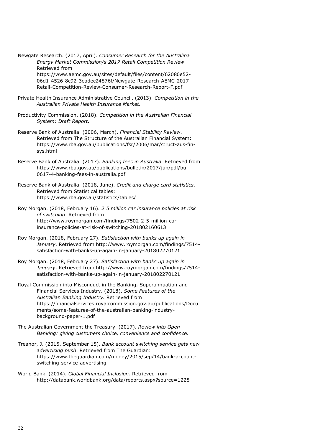Newgate Research. (2017, April). Consumer Research for the Australina Energy Market Commission/s 2017 Retail Competition Review. Retrieved from https://www.aemc.gov.au/sites/default/files/content/62080e52- 06d1-4526-8c92-3eadec24876f/Newgate-Research-AEMC-2017- Retail-Competition-Review-Consumer-Research-Report-F.pdf

- Private Health Insurance Administrative Council. (2013). Competition in the Australian Private Health Insurance Market.
- Productivity Commission. (2018). Competition in the Australian Financial System: Draft Report.
- Reserve Bank of Australia. (2006, March). Financial Stability Review. Retrieved from The Structure of the Australian Financial System: https://www.rba.gov.au/publications/fsr/2006/mar/struct-aus-finsys.html
- Reserve Bank of Australia. (2017). Banking fees in Australia. Retrieved from https://www.rba.gov.au/publications/bulletin/2017/jun/pdf/bu-0617-4-banking-fees-in-australia.pdf

Reserve Bank of Australia. (2018, June). Credit and charge card statistics. Retrieved from Statistical tables: https://www.rba.gov.au/statistics/tables/

- Roy Morgan. (2018, February 16). 2.5 million car insurance policies at risk of switching. Retrieved from http://www.roymorgan.com/findings/7502-2-5-million-carinsurance-policies-at-risk-of-switching-201802160613
- Roy Morgan. (2018, February 27). Satisfaction with banks up again in January. Retrieved from http://www.roymorgan.com/findings/7514 satisfaction-with-banks-up-again-in-january-201802270121
- Roy Morgan. (2018, February 27). Satisfaction with banks up again in January. Retrieved from http://www.roymorgan.com/findings/7514 satisfaction-with-banks-up-again-in-january-201802270121
- Royal Commission into Misconduct in the Banking, Superannuation and Financial Services Industry. (2018). Some Features of the Australian Banking Industry. Retrieved from https://financialservices.royalcommission.gov.au/publications/Docu ments/some-features-of-the-australian-banking-industrybackground-paper-1.pdf
- The Australian Government the Treasury. (2017). Review into Open Banking: giving customers choice, convenience and confidence.
- Treanor, J. (2015, September 15). Bank account switching service gets new advertising push. Retrieved from The Guardian: https://www.theguardian.com/money/2015/sep/14/bank-accountswitching-service-advertising
- World Bank. (2014). Global Financial Inclusion. Retrieved from http://databank.worldbank.org/data/reports.aspx?source=1228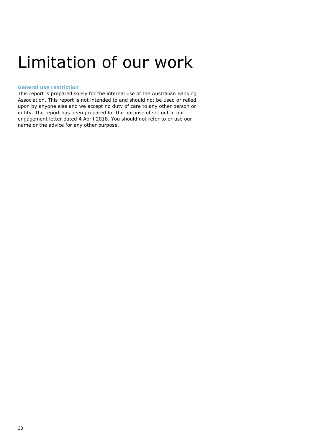### Limitation of our work

#### General use restriction

This report is prepared solely for the internal use of the Australian Banking Association. This report is not intended to and should not be used or relied upon by anyone else and we accept no duty of care to any other person or entity. The report has been prepared for the purpose of set out in our engagement letter dated 4 April 2018. You should not refer to or use our name or the advice for any other purpose.